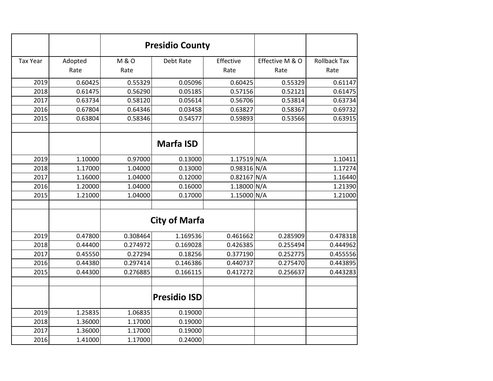|                 |         | <b>Presidio County</b> |                      |             |                 |                     |
|-----------------|---------|------------------------|----------------------|-------------|-----------------|---------------------|
| <b>Tax Year</b> | Adopted | <b>M&amp;O</b>         | Debt Rate            | Effective   | Effective M & O | <b>Rollback Tax</b> |
|                 | Rate    | Rate                   |                      | Rate        | Rate            | Rate                |
| 2019            | 0.60425 | 0.55329                | 0.05096              | 0.60425     | 0.55329         | 0.61147             |
| 2018            | 0.61475 | 0.56290                | 0.05185              | 0.57156     | 0.52121         | 0.61475             |
| 2017            | 0.63734 | 0.58120                | 0.05614              | 0.56706     | 0.53814         | 0.63734             |
| 2016            | 0.67804 | 0.64346                | 0.03458              | 0.63827     | 0.58367         | 0.69732             |
| 2015            | 0.63804 | 0.58346                | 0.54577              | 0.59893     | 0.53566         | 0.63915             |
|                 |         |                        | <b>Marfa ISD</b>     |             |                 |                     |
| 2019            | 1.10000 | 0.97000                | 0.13000              | 1.17519 N/A |                 | 1.10411             |
| 2018            | 1.17000 | 1.04000                | 0.13000              | 0.98316 N/A |                 | 1.17274             |
| 2017            | 1.16000 | 1.04000                | 0.12000              | 0.82167 N/A |                 | 1.16440             |
| 2016            | 1.20000 | 1.04000                | 0.16000              | 1.18000 N/A |                 | 1.21390             |
| 2015            | 1.21000 | 1.04000                | 0.17000              | 1.15000 N/A |                 | 1.21000             |
|                 |         |                        | <b>City of Marfa</b> |             |                 |                     |
| 2019            | 0.47800 | 0.308464               | 1.169536             | 0.461662    | 0.285909        | 0.478318            |
| 2018            | 0.44400 | 0.274972               | 0.169028             | 0.426385    | 0.255494        | 0.444962            |
| 2017            | 0.45550 | 0.27294                | 0.18256              | 0.377190    | 0.252775        | 0.455556            |
| 2016            | 0.44380 | 0.297414               | 0.146386             | 0.440737    | 0.275470        | 0.443895            |
| 2015            | 0.44300 | 0.276885               | 0.166115             | 0.417272    | 0.256637        | 0.443283            |
|                 |         |                        | <b>Presidio ISD</b>  |             |                 |                     |
| 2019            | 1.25835 | 1.06835                | 0.19000              |             |                 |                     |
| 2018            | 1.36000 | 1.17000                | 0.19000              |             |                 |                     |
| 2017            | 1.36000 | 1.17000                | 0.19000              |             |                 |                     |
| 2016            | 1.41000 | 1.17000                | 0.24000              |             |                 |                     |
|                 |         |                        |                      |             |                 |                     |